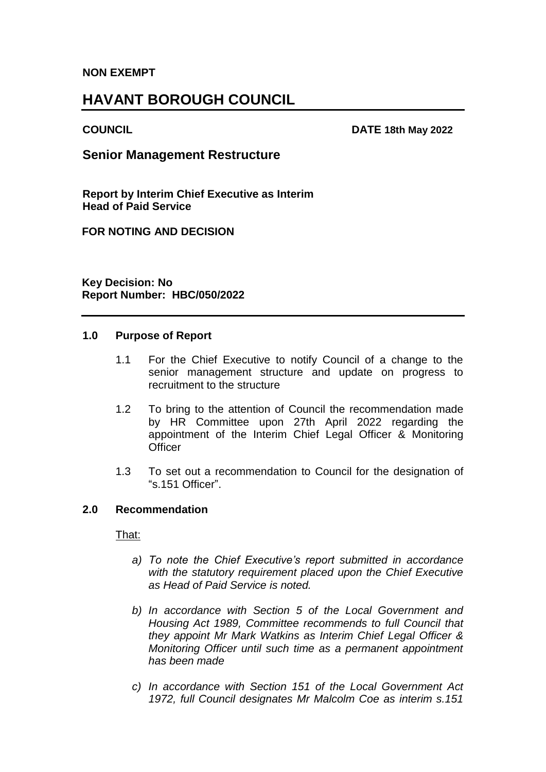### **NON EXEMPT**

# **HAVANT BOROUGH COUNCIL**

#### **COUNCIL DATE 18th May 2022**

# **Senior Management Restructure**

**Report by Interim Chief Executive as Interim Head of Paid Service**

**FOR NOTING AND DECISION**

**Key Decision: No Report Number: HBC/050/2022**

#### **1.0 Purpose of Report**

- 1.1 For the Chief Executive to notify Council of a change to the senior management structure and update on progress to recruitment to the structure
- 1.2 To bring to the attention of Council the recommendation made by HR Committee upon 27th April 2022 regarding the appointment of the Interim Chief Legal Officer & Monitoring **Officer**
- 1.3 To set out a recommendation to Council for the designation of "s.151 Officer".

#### **2.0 Recommendation**

#### That:

- *a) To note the Chief Executive's report submitted in accordance with the statutory requirement placed upon the Chief Executive as Head of Paid Service is noted.*
- *b) In accordance with Section 5 of the Local Government and Housing Act 1989, Committee recommends to full Council that they appoint Mr Mark Watkins as Interim Chief Legal Officer & Monitoring Officer until such time as a permanent appointment has been made*
- *c) In accordance with Section 151 of the Local Government Act 1972, full Council designates Mr Malcolm Coe as interim s.151*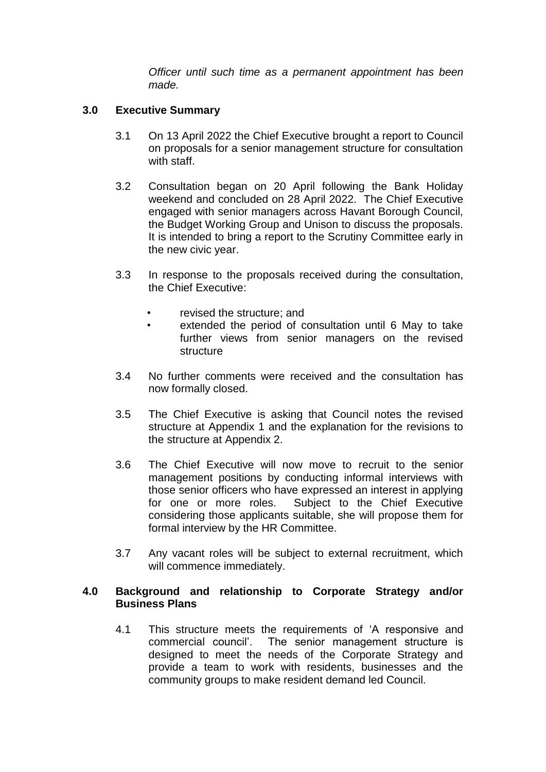*Officer until such time as a permanent appointment has been made.*

# **3.0 Executive Summary**

- 3.1 On 13 April 2022 the Chief Executive brought a report to Council on proposals for a senior management structure for consultation with staff.
- 3.2 Consultation began on 20 April following the Bank Holiday weekend and concluded on 28 April 2022. The Chief Executive engaged with senior managers across Havant Borough Council, the Budget Working Group and Unison to discuss the proposals. It is intended to bring a report to the Scrutiny Committee early in the new civic year.
- 3.3 In response to the proposals received during the consultation, the Chief Executive:
	- revised the structure; and
	- extended the period of consultation until 6 May to take further views from senior managers on the revised **structure**
- 3.4 No further comments were received and the consultation has now formally closed.
- 3.5 The Chief Executive is asking that Council notes the revised structure at Appendix 1 and the explanation for the revisions to the structure at Appendix 2.
- 3.6 The Chief Executive will now move to recruit to the senior management positions by conducting informal interviews with those senior officers who have expressed an interest in applying for one or more roles. Subject to the Chief Executive considering those applicants suitable, she will propose them for formal interview by the HR Committee.
- 3.7 Any vacant roles will be subject to external recruitment, which will commence immediately.

#### **4.0 Background and relationship to Corporate Strategy and/or Business Plans**

4.1 This structure meets the requirements of 'A responsive and commercial council'. The senior management structure is designed to meet the needs of the Corporate Strategy and provide a team to work with residents, businesses and the community groups to make resident demand led Council.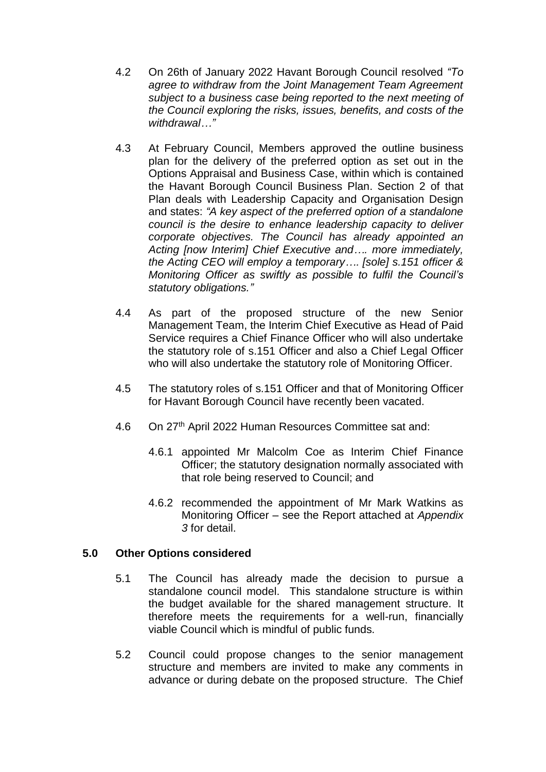- 4.2 On 26th of January 2022 Havant Borough Council resolved *"To agree to withdraw from the Joint Management Team Agreement subject to a business case being reported to the next meeting of the Council exploring the risks, issues, benefits, and costs of the withdrawal…"*
- 4.3 At February Council, Members approved the outline business plan for the delivery of the preferred option as set out in the Options Appraisal and Business Case, within which is contained the Havant Borough Council Business Plan. Section 2 of that Plan deals with Leadership Capacity and Organisation Design and states: *"A key aspect of the preferred option of a standalone council is the desire to enhance leadership capacity to deliver corporate objectives. The Council has already appointed an Acting [now Interim] Chief Executive and…. more immediately, the Acting CEO will employ a temporary…. [sole] s.151 officer & Monitoring Officer as swiftly as possible to fulfil the Council's statutory obligations."*
- 4.4 As part of the proposed structure of the new Senior Management Team, the Interim Chief Executive as Head of Paid Service requires a Chief Finance Officer who will also undertake the statutory role of s.151 Officer and also a Chief Legal Officer who will also undertake the statutory role of Monitoring Officer.
- 4.5 The statutory roles of s.151 Officer and that of Monitoring Officer for Havant Borough Council have recently been vacated.
- 4.6 On 27th April 2022 Human Resources Committee sat and:
	- 4.6.1 appointed Mr Malcolm Coe as Interim Chief Finance Officer; the statutory designation normally associated with that role being reserved to Council; and
	- 4.6.2 recommended the appointment of Mr Mark Watkins as Monitoring Officer – see the Report attached at *Appendix 3* for detail.

# **5.0 Other Options considered**

- 5.1 The Council has already made the decision to pursue a standalone council model. This standalone structure is within the budget available for the shared management structure. It therefore meets the requirements for a well-run, financially viable Council which is mindful of public funds.
- 5.2 Council could propose changes to the senior management structure and members are invited to make any comments in advance or during debate on the proposed structure. The Chief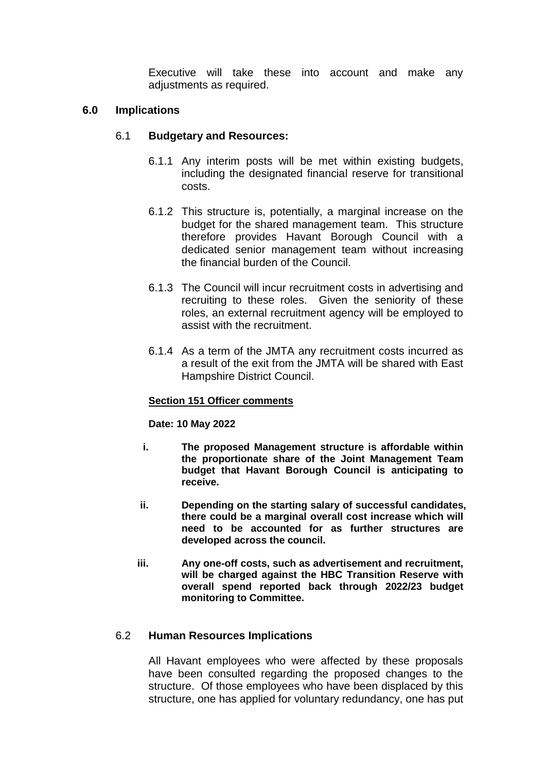Executive will take these into account and make any adjustments as required.

# **6.0 Implications**

### 6.1 **Budgetary and Resources:**

- 6.1.1 Any interim posts will be met within existing budgets, including the designated financial reserve for transitional costs.
- 6.1.2 This structure is, potentially, a marginal increase on the budget for the shared management team. This structure therefore provides Havant Borough Council with a dedicated senior management team without increasing the financial burden of the Council.
- 6.1.3 The Council will incur recruitment costs in advertising and recruiting to these roles. Given the seniority of these roles, an external recruitment agency will be employed to assist with the recruitment.
- 6.1.4 As a term of the JMTA any recruitment costs incurred as a result of the exit from the JMTA will be shared with East Hampshire District Council.

#### **Section 151 Officer comments**

#### **Date: 10 May 2022**

- **i. The proposed Management structure is affordable within the proportionate share of the Joint Management Team budget that Havant Borough Council is anticipating to receive.**
- **ii. Depending on the starting salary of successful candidates, there could be a marginal overall cost increase which will need to be accounted for as further structures are developed across the council.**
- **iii. Any one-off costs, such as advertisement and recruitment, will be charged against the HBC Transition Reserve with overall spend reported back through 2022/23 budget monitoring to Committee.**

#### 6.2 **Human Resources Implications**

All Havant employees who were affected by these proposals have been consulted regarding the proposed changes to the structure. Of those employees who have been displaced by this structure, one has applied for voluntary redundancy, one has put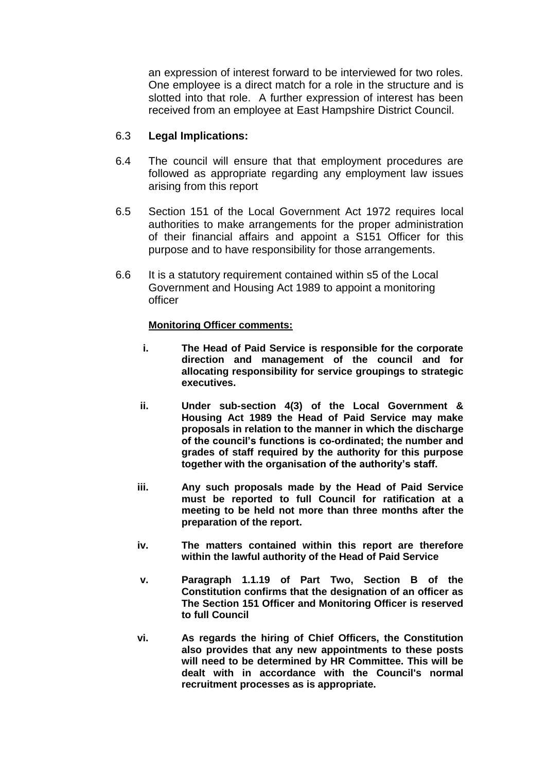an expression of interest forward to be interviewed for two roles. One employee is a direct match for a role in the structure and is slotted into that role. A further expression of interest has been received from an employee at East Hampshire District Council.

# 6.3 **Legal Implications:**

- 6.4 The council will ensure that that employment procedures are followed as appropriate regarding any employment law issues arising from this report
- 6.5 Section 151 of the Local Government Act 1972 requires local authorities to make arrangements for the proper administration of their financial affairs and appoint a S151 Officer for this purpose and to have responsibility for those arrangements.
- 6.6 It is a statutory requirement contained within s5 of the Local Government and Housing Act 1989 to appoint a monitoring officer

#### **Monitoring Officer comments:**

- **i. The Head of Paid Service is responsible for the corporate direction and management of the council and for allocating responsibility for service groupings to strategic executives.**
- **ii. Under sub-section 4(3) of the Local Government & Housing Act 1989 the Head of Paid Service may make proposals in relation to the manner in which the discharge of the council's functions is co-ordinated; the number and grades of staff required by the authority for this purpose together with the organisation of the authority's staff.**
- **iii. Any such proposals made by the Head of Paid Service must be reported to full Council for ratification at a meeting to be held not more than three months after the preparation of the report.**
- **iv. The matters contained within this report are therefore within the lawful authority of the Head of Paid Service**
- **v. Paragraph 1.1.19 of Part Two, Section B of the Constitution confirms that the designation of an officer as The Section 151 Officer and Monitoring Officer is reserved to full Council**
- **vi. As regards the hiring of Chief Officers, the Constitution also provides that any new appointments to these posts will need to be determined by HR Committee. This will be dealt with in accordance with the Council's normal recruitment processes as is appropriate.**